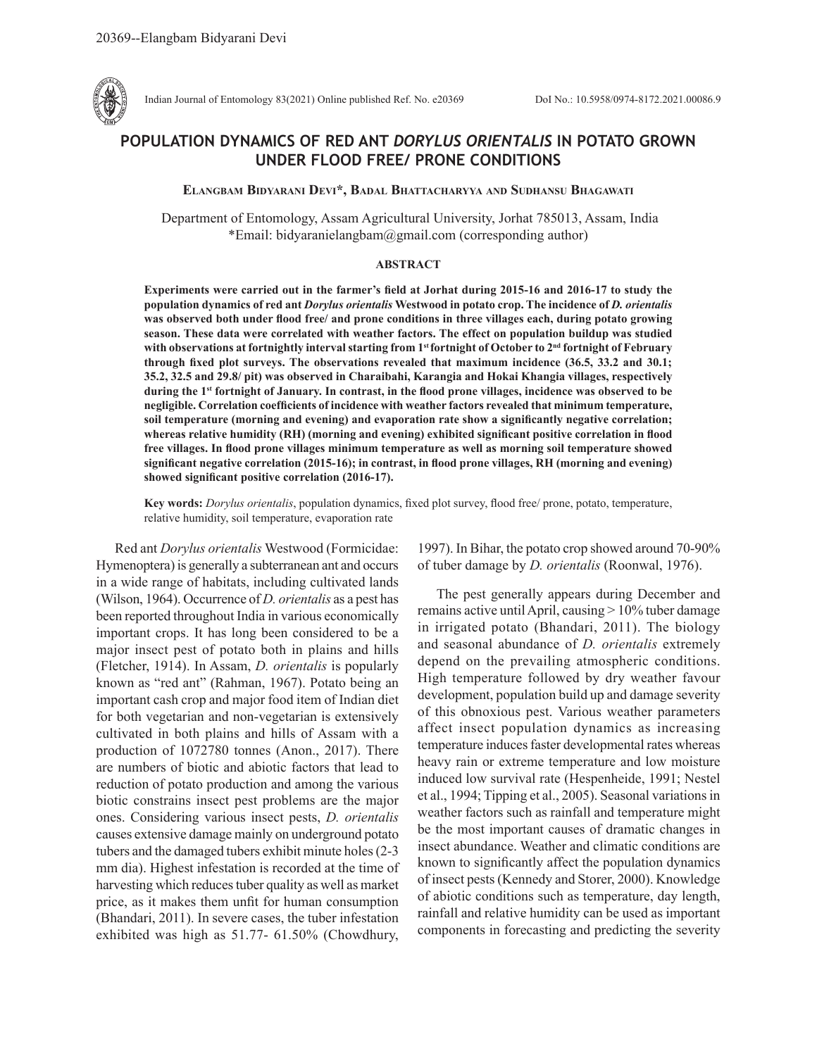

Indian Journal of Entomology 83(2021) Online published Ref. No. e20369 DoI No.: 10.5958/0974-8172.2021.00086.9

# **POPULATION DYNAMICS OF RED ANT** *DORYLUS ORIENTALIS* **IN POTATO GROWN UNDER FLOOD FREE/ PRONE CONDITIONS**

### **Elangbam Bidyarani Devi\*, Badal Bhattacharyya and Sudhansu Bhagawati**

 Department of Entomology, Assam Agricultural University, Jorhat 785013, Assam, India \*Email: bidyaranielangbam@gmail.com (corresponding author)

### **ABSTRACT**

**Experiments were carried out in the farmer's field at Jorhat during 2015-16 and 2016-17 to study the population dynamics of red ant** *Dorylus orientalis* **Westwood in potato crop. The incidence of** *D. orientalis* **was observed both under flood free/ and prone conditions in three villages each, during potato growing season. These data were correlated with weather factors. The effect on population buildup was studied with observations at fortnightly interval starting from 1st fortnight of October to 2nd fortnight of February through fixed plot surveys. The observations revealed that maximum incidence (36.5, 33.2 and 30.1; 35.2, 32.5 and 29.8/ pit) was observed in Charaibahi, Karangia and Hokai Khangia villages, respectively during the 1st fortnight of January. In contrast, in the flood prone villages, incidence was observed to be negligible. Correlation coefficients of incidence with weather factors revealed that minimum temperature, soil temperature (morning and evening) and evaporation rate show a significantly negative correlation; whereas relative humidity (RH) (morning and evening) exhibited significant positive correlation in flood free villages. In flood prone villages minimum temperature as well as morning soil temperature showed significant negative correlation (2015-16); in contrast, in flood prone villages, RH (morning and evening) showed significant positive correlation (2016-17).** 

**Key words:** *Dorylus orientalis*, population dynamics, fixed plot survey, flood free/ prone, potato, temperature, relative humidity, soil temperature, evaporation rate

Red ant *Dorylus orientalis* Westwood (Formicidae: Hymenoptera) is generally a subterranean ant and occurs in a wide range of habitats, including cultivated lands (Wilson, 1964). Occurrence of *D. orientalis* as a pest has been reported throughout India in various economically important crops. It has long been considered to be a major insect pest of potato both in plains and hills (Fletcher, 1914). In Assam, *D. orientalis* is popularly known as "red ant" (Rahman, 1967). Potato being an important cash crop and major food item of Indian diet for both vegetarian and non-vegetarian is extensively cultivated in both plains and hills of Assam with a production of 1072780 tonnes (Anon., 2017). There are numbers of biotic and abiotic factors that lead to reduction of potato production and among the various biotic constrains insect pest problems are the major ones. Considering various insect pests, *D. orientalis* causes extensive damage mainly on underground potato tubers and the damaged tubers exhibit minute holes (2-3 mm dia). Highest infestation is recorded at the time of harvesting which reduces tuber quality as well as market price, as it makes them unfit for human consumption (Bhandari, 2011). In severe cases, the tuber infestation exhibited was high as 51.77- 61.50% (Chowdhury,

1997). In Bihar, the potato crop showed around 70-90% of tuber damage by *D. orientalis* (Roonwal, 1976).

The pest generally appears during December and remains active until April, causing > 10% tuber damage in irrigated potato (Bhandari, 2011). The biology and seasonal abundance of *D. orientalis* extremely depend on the prevailing atmospheric conditions. High temperature followed by dry weather favour development, population build up and damage severity of this obnoxious pest. Various weather parameters affect insect population dynamics as increasing temperature induces faster developmental rates whereas heavy rain or extreme temperature and low moisture induced low survival rate (Hespenheide, 1991; Nestel et al., 1994; Tipping et al., 2005). Seasonal variations in weather factors such as rainfall and temperature might be the most important causes of dramatic changes in insect abundance. Weather and climatic conditions are known to significantly affect the population dynamics of insect pests (Kennedy and Storer, 2000). Knowledge of abiotic conditions such as temperature, day length, rainfall and relative humidity can be used as important components in forecasting and predicting the severity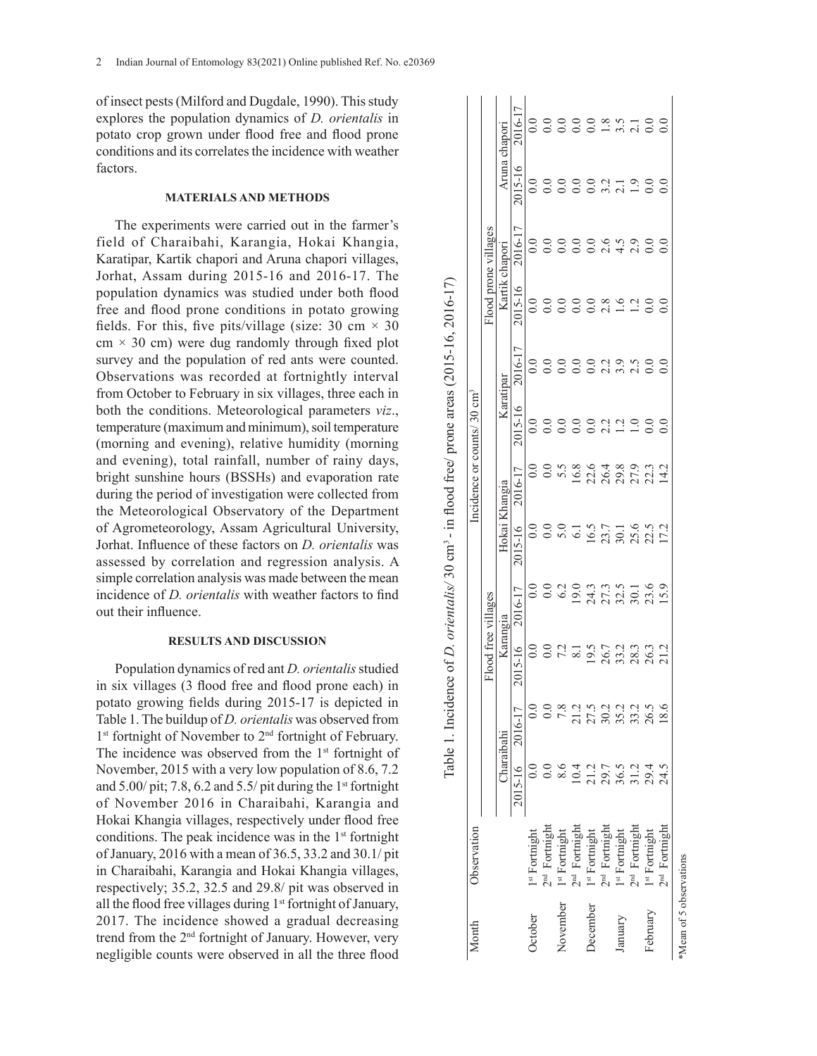of insect pests (Milford and Dugdale, 1990). This study explores the population dynamics of *D. orientalis* in potato crop grown under flood free and flood prone conditions and its correlates the incidence with weather factors.

## **MATERIALS AND METHODS**

The experiments were carried out in the farmer's field of Charaibahi, Karangia, Hokai Khangia, Karatipar, Kartik chapori and Aruna chapori villages, Jorhat, Assam during 2015-16 and 2016-17. The population dynamics was studied under both flood free and flood prone conditions in potato growing fields. For this, five pits/village (size: 30 cm  $\times$  30  $cm \times 30$  cm) were dug randomly through fixed plot survey and the population of red ants were counted. Observations was recorded at fortnightly interval from October to February in six villages, three each in both the conditions. Meteorological parameters *viz*., temperature (maximum and minimum), soil temperature (morning and evening), relative humidity (morning and evening), total rainfall, number of rainy days, bright sunshine hours (BSSHs) and evaporation rate during the period of investigation were collected from the Meteorological Observatory of the Department of Agrometeorology, Assam Agricultural University, Jorhat. Influence of these factors on *D. orientalis* was assessed by correlation and regression analysis. A simple correlation analysis was made between the mean incidence of *D. orientalis* with weather factors to find out their influence.

### **RESULTS AND DISCUSSION**

Population dynamics of red ant *D. orientalis* studied in six villages (3 flood free and flood prone each) in potato growing fields during 2015-17 is depicted in Table 1. The buildup of *D. orientalis* was observed from 1<sup>st</sup> fortnight of November to 2<sup>nd</sup> fortnight of February. The incidence was observed from the  $1<sup>st</sup>$  fortnight of November, 2015 with a very low population of 8.6, 7.2 and  $5.00$ / pit; 7.8, 6.2 and  $5.5$ / pit during the 1<sup>st</sup> fortnight of November 2016 in Charaibahi, Karangia and Hokai Khangia villages, respectively under flood free conditions. The peak incidence was in the  $1<sup>st</sup>$  fortnight of January, 2016 with a mean of 36.5, 33.2 and 30.1/ pit in Charaibahi, Karangia and Hokai Khangia villages, respectively; 35.2, 32.5 and 29.8/ pit was observed in all the flood free villages during  $1<sup>st</sup>$  fortnight of January, 2017. The incidence showed a gradual decreasing trend from the 2nd fortnight of January. However, very negligible counts were observed in all the three flood

| Month                   | Observation               |              |                 |              |                              |                                                         | Incidence or counts/30 $cm3$                     |           |                  |                                                                   |                      |                         |          |
|-------------------------|---------------------------|--------------|-----------------|--------------|------------------------------|---------------------------------------------------------|--------------------------------------------------|-----------|------------------|-------------------------------------------------------------------|----------------------|-------------------------|----------|
|                         |                           |              |                 |              | Flood free villages          |                                                         |                                                  |           |                  | Flood prone villages                                              |                      |                         |          |
|                         |                           |              | Charaibahi      |              | Karangia                     | Hokai Khangia                                           |                                                  | Karatipar |                  | Kartik chapori                                                    |                      | Aruna chapori           |          |
|                         |                           |              | 2015-16 2016-17 | 2015-16      | 2016-17                      | 2015-16                                                 | 2016-17                                          | 2015-16   | 2016-17          | 2015-16                                                           | 2016-17              | 2015-16                 | 2016-17  |
| <b>October</b>          | 1st Fortnight             |              |                 | $_{\rm 0.0}$ | 0.0                          | $\overline{0}$ .                                        | 0.0                                              | 0.0       | 0.0              | 0.0                                                               | 0.0                  | 0.0                     | 0.0      |
|                         | 2 <sup>nd</sup> Fortnight |              |                 | 0.0          | 0.0                          | $rac{0}{5}$ .0                                          |                                                  |           | $\overline{0.0}$ | 0.0                                                               | 0.0                  | 0.0                     |          |
| November                | 1st Fortnight             |              | 7.8             |              | 6.2                          |                                                         |                                                  | 0.0       | $\overline{0.0}$ | $\overline{0}$ .                                                  | 0.0                  | 0.0                     | 0.0      |
|                         | $2nd$ Formight            | 0.4          | $\frac{1}{2}$   |              |                              |                                                         |                                                  | 0.0       | 0.0              | $0.0\,$                                                           | 0.0                  |                         | 0.0      |
| December                | 1st Fortnight             |              |                 |              |                              |                                                         |                                                  |           | $\overline{0}$ . |                                                                   | 0.0                  |                         |          |
|                         | 2 <sup>nd</sup> Fortnight |              |                 |              |                              |                                                         |                                                  |           |                  |                                                                   |                      |                         |          |
| January                 | 1st Fortnight             |              |                 |              |                              |                                                         |                                                  |           |                  |                                                                   | $24,000$<br>$24,000$ | $0.001100$<br>$0.01100$ | 0.885100 |
|                         | 2 <sup>nd</sup> Fortnight |              |                 |              |                              |                                                         |                                                  |           |                  |                                                                   |                      |                         |          |
| February                | 1st Formight              | 225523452333 |                 |              | 1933<br>1935<br>1936<br>1936 | $6.1$<br>$16.5$<br>$17.7$<br>$18.6$<br>$17.2$<br>$17.2$ | 0 5 5 8 9 4 8 9 9 10 11<br>0 5 6 9 5 9 9 9 10 11 |           |                  | $\begin{array}{c} 0.8 \\ 0.8 \\ 0.1 \\ 0.0 \\ 0.0 \\ \end{array}$ |                      |                         |          |
|                         | 2 <sup>nd</sup> Fortnight |              | $\frac{8.6}{2}$ |              |                              |                                                         |                                                  | 0.0       | 0.0              |                                                                   | 0.0                  | 0.0                     |          |
| *Mean of 5 observations |                           |              |                 |              |                              |                                                         |                                                  |           |                  |                                                                   |                      |                         |          |

Table 1. Incidence of *D. orientalis/* 30 cm<sup>3</sup> - in flood free/ prone areas (2015-16, 2016-17) Table 1. Incidence of *D. orientalis/* 30 cm3 - in flood free/ prone areas (2015-16, 2016-17)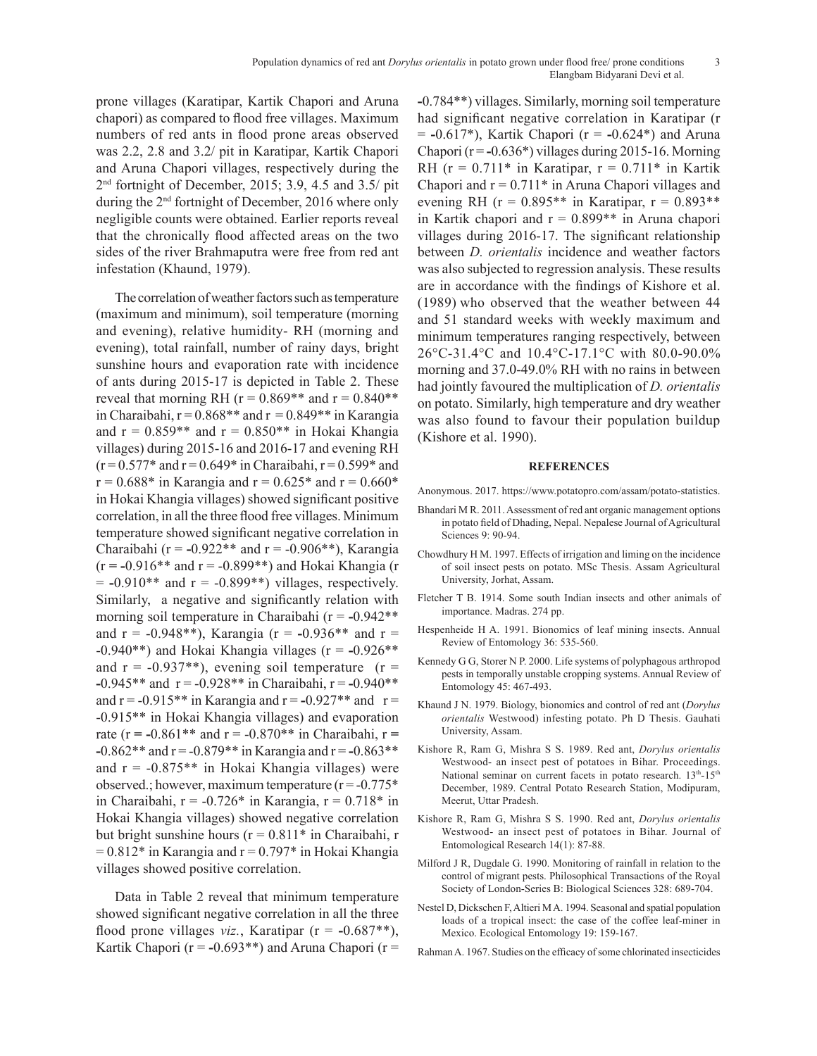prone villages (Karatipar, Kartik Chapori and Aruna chapori) as compared to flood free villages. Maximum numbers of red ants in flood prone areas observed was 2.2, 2.8 and 3.2/ pit in Karatipar, Kartik Chapori and Aruna Chapori villages, respectively during the 2nd fortnight of December, 2015; 3.9, 4.5 and 3.5/ pit during the 2nd fortnight of December, 2016 where only negligible counts were obtained. Earlier reports reveal that the chronically flood affected areas on the two sides of the river Brahmaputra were free from red ant infestation (Khaund, 1979).

The correlation of weather factors such as temperature (maximum and minimum), soil temperature (morning and evening), relative humidity- RH (morning and evening), total rainfall, number of rainy days, bright sunshine hours and evaporation rate with incidence of ants during 2015-17 is depicted in Table 2. These reveal that morning RH ( $r = 0.869**$  and  $r = 0.840**$ in Charaibahi,  $r = 0.868**$  and  $r = 0.849**$  in Karangia and  $r = 0.859**$  and  $r = 0.850**$  in Hokai Khangia villages) during 2015-16 and 2016-17 and evening RH  $(r = 0.577*$  and  $r = 0.649*$  in Charaibahi,  $r = 0.599*$  and  $r = 0.688*$  in Karangia and  $r = 0.625*$  and  $r = 0.660*$ in Hokai Khangia villages) showed significant positive correlation, in all the three flood free villages. Minimum temperature showed significant negative correlation in Charaibahi (r = **-**0.922\*\* and r = -0.906\*\*), Karangia (r **= -**0.916\*\* and r = -0.899\*\*) and Hokai Khangia (r  $= -0.910**$  and  $r = -0.899**$ ) villages, respectively. Similarly, a negative and significantly relation with morning soil temperature in Charaibahi (r = **-**0.942\*\* and  $r = -0.948**$ ), Karangia ( $r = -0.936**$  and  $r =$ -0.940\*\*) and Hokai Khangia villages (r = **-**0.926\*\* and  $r = -0.937**$ ), evening soil temperature ( $r =$ **-**0.945\*\* and r = -0.928\*\* in Charaibahi, r = **-**0.940\*\* and  $r = -0.915**$  in Karangia and  $r = -0.927**$  and  $r =$ -0.915\*\* in Hokai Khangia villages) and evaporation rate ( $r = -0.861**$  and  $r = -0.870**$  in Charaibahi,  $r =$ **-**0.862\*\* and r = -0.879\*\* in Karangia and r = **-**0.863\*\* and  $r = -0.875**$  in Hokai Khangia villages) were observed.; however, maximum temperature  $(r = -0.775^*)$ in Charaibahi, r =  $-0.726*$  in Karangia, r = 0.718<sup>\*</sup> in Hokai Khangia villages) showed negative correlation but bright sunshine hours ( $r = 0.811*$  in Charaibahi, r  $= 0.812*$  in Karangia and  $r = 0.797*$  in Hokai Khangia villages showed positive correlation.

Data in Table 2 reveal that minimum temperature showed significant negative correlation in all the three flood prone villages *viz.*, Karatipar (r = **-**0.687\*\*), Kartik Chapori ( $r = -0.693**$ ) and Aruna Chapori ( $r =$  **-**0.784\*\*) villages. Similarly, morning soil temperature had significant negative correlation in Karatipar (r = **-**0.617\*), Kartik Chapori (r = **-**0.624\*) and Aruna Chapori (r = **-**0.636\*) villages during 2015-16. Morning RH ( $r = 0.711*$  in Karatipar,  $r = 0.711*$  in Kartik Chapori and  $r = 0.711*$  in Aruna Chapori villages and evening RH ( $r = 0.895**$  in Karatipar,  $r = 0.893**$ in Kartik chapori and  $r = 0.899**$  in Aruna chapori villages during 2016-17. The significant relationship between *D. orientalis* incidence and weather factors was also subjected to regression analysis. These results are in accordance with the findings of Kishore et al. (1989) who observed that the weather between 44 and 51 standard weeks with weekly maximum and minimum temperatures ranging respectively, between 26°C-31.4°C and 10.4°C-17.1°C with 80.0-90.0% morning and 37.0-49.0% RH with no rains in between had jointly favoured the multiplication of *D. orientalis*  on potato. Similarly, high temperature and dry weather was also found to favour their population buildup (Kishore et al. 1990).

#### **REFERENCES**

- Anonymous. 2017. https://www.potatopro.com/assam/potato-statistics.
- Bhandari M R. 2011. Assessment of red ant organic management options in potato field of Dhading, Nepal. Nepalese Journal of Agricultural Sciences 9: 90-94.
- Chowdhury H M. 1997. Effects of irrigation and liming on the incidence of soil insect pests on potato. MSc Thesis. Assam Agricultural University, Jorhat, Assam.
- Fletcher T B. 1914. Some south Indian insects and other animals of importance. Madras. 274 pp.
- Hespenheide H A. 1991. Bionomics of leaf mining insects. Annual Review of Entomology 36: 535-560.
- Kennedy G G, Storer N P. 2000. Life systems of polyphagous arthropod pests in temporally unstable cropping systems. Annual Review of Entomology 45: 467-493.
- Khaund J N. 1979. Biology, bionomics and control of red ant (*Dorylus orientalis* Westwood) infesting potato. Ph D Thesis. Gauhati University, Assam.
- Kishore R, Ram G, Mishra S S. 1989. Red ant, *Dorylus orientalis* Westwood- an insect pest of potatoes in Bihar. Proceedings. National seminar on current facets in potato research. 13<sup>th</sup>-15<sup>th</sup> December, 1989. Central Potato Research Station, Modipuram, Meerut, Uttar Pradesh.
- Kishore R, Ram G, Mishra S S. 1990. Red ant, *Dorylus orientalis* Westwood- an insect pest of potatoes in Bihar. Journal of Entomological Research 14(1): 87-88.
- Milford J R, Dugdale G. 1990. Monitoring of rainfall in relation to the control of migrant pests. Philosophical Transactions of the Royal Society of London-Series B: Biological Sciences 328: 689-704.
- Nestel D, Dickschen F, Altieri M A. 1994. Seasonal and spatial population loads of a tropical insect: the case of the coffee leaf-miner in Mexico. Ecological Entomology 19: 159-167.
- Rahman A. 1967. Studies on the efficacy of some chlorinated insecticides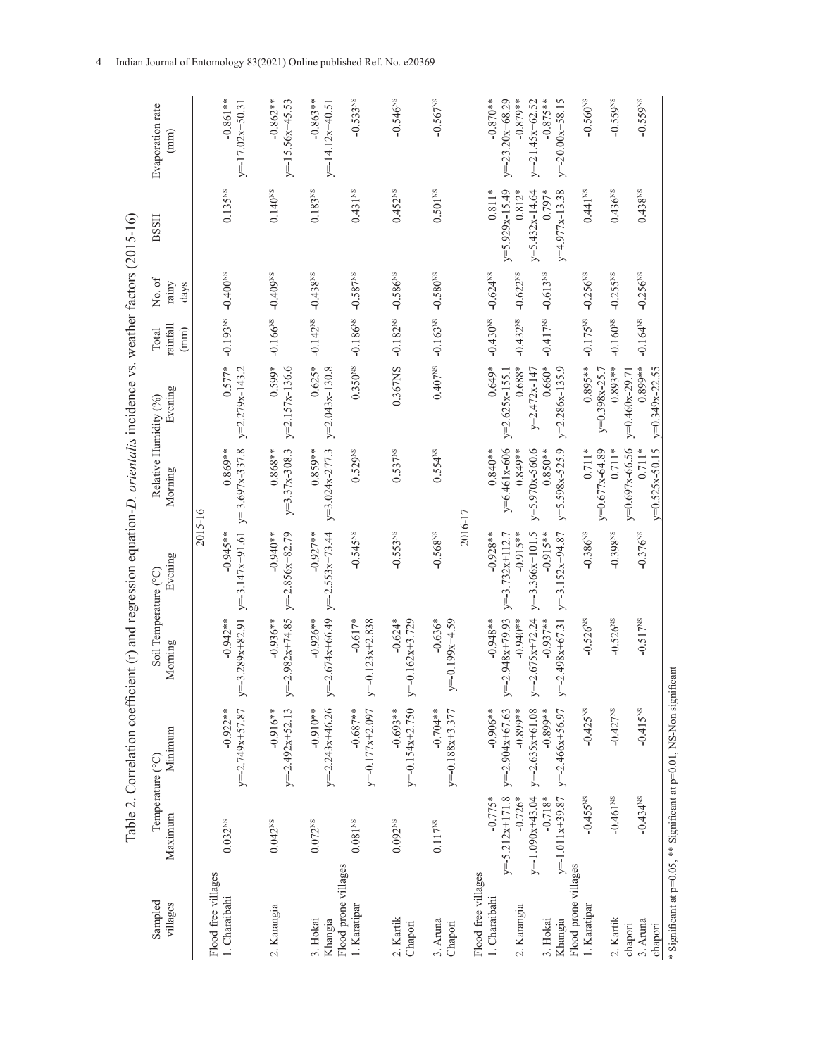|                                                                       |                                |                                 | Table 2. Correlation coefficient (r) and regression equation-D. <i>orientalis</i> incidence vs. weather factors $(2015-16)$ |                                   |                                  |                               |                           |                        |                              |                                     |
|-----------------------------------------------------------------------|--------------------------------|---------------------------------|-----------------------------------------------------------------------------------------------------------------------------|-----------------------------------|----------------------------------|-------------------------------|---------------------------|------------------------|------------------------------|-------------------------------------|
| Sampled<br>villages                                                   | Temperature (°C)<br>Maximum    | Minimum                         | Soil Temperature (°C)<br>Morning                                                                                            | Evening                           | Relative Humidity (%)<br>Morning | Evening                       | rainfall<br>Total<br>(mm) | No.of<br>rainy<br>days | <b>BSSH</b>                  | Evaporation rate<br>(mm)            |
| Flood free villages                                                   |                                |                                 |                                                                                                                             | 2015-16                           |                                  |                               |                           |                        |                              |                                     |
| 1. Charaibahi                                                         | 0.032 <sup>NS</sup>            | $-0.922**$<br>$y=-2.749x+57.87$ | $-0.942**$<br>$y=3.289x+82.91$                                                                                              | $y=-3.147x+91.61$<br>$-0.945**$   | $y=3.697x-337.8$<br>$0.869**$    | $0.577*$<br>$y=2.279x-143.2$  | $-0.193$ <sub>NS</sub>    | $-0.400$ <sup>NS</sup> | $0.135$ <sup>NS</sup>        | $-0.861**$<br>$y=-17.02x+50.31$     |
| 2. Karangia                                                           | $0.042^{NS}$                   | $y=-2.492x+52.13$<br>$-0.916**$ | $= -2.982x + 74.85$<br>$-0.936**$<br>⋋                                                                                      | $-0.940**$<br>$y=-2.856x+82.79$   | $y=3.37x-308.3$<br>$0.868**$     | $0.599*$<br>$y=2.157x-136.6$  | $-0.166^{NS}$             | $-0.409$ <sup>NS</sup> | $0.140^{NS}$                 | $-0.862**$<br>$y = -15.56x + 45.53$ |
| 3. Hokai<br>Khangia                                                   | 0.072 <sup>NS</sup>            | $y=-2.243x+46.26$<br>$-0.910**$ | $= -2.674x + 66.49$<br>$-0.926**$<br>>                                                                                      | $y=-2.553x+73.44$<br>$-0.927**$   | $y=3.024x-277.3$<br>$0.859**$    | $0.625*$<br>$y=2.043x-130.8$  | $-0.142^{NS}$             | $-0.438$ <sup>NS</sup> | $0.183^{\rm NS}$             | $-0.863**$<br>$y=-14.12x+40.51$     |
| Flood prone villages<br>1. Karatipar                                  | $0.081^{\rm NS}$               | $-0.687**$<br>$y=-0.177x+2.097$ | $-0.617*$<br>$=-0.123x+2.838$<br>➢                                                                                          | $-0.545^{NS}$                     | 0.529 <sup>NS</sup>              | 0.350 <sup>NS</sup>           | $-0.186$ <sup>NS</sup>    | $-0.587$ <sup>NS</sup> | $0.431$ <sup>NS</sup>        | $-0.533$ <sup>NS</sup>              |
| 2. Kartik<br>Chapori                                                  | 0.092 <sup>NS</sup>            | $y=-0.154x+2.750$<br>$-0.693**$ | $-0.624*$<br>$y=-0.162x+3.729$                                                                                              | $-0.553$ <sup>NS</sup>            | $0.537$ <sup>NS</sup>            | 0.367NS                       | $-0.182$ <sup>NS</sup>    | $-0.586^{NS}$          | 0.452 <sup>NS</sup>          | $-0.546^{NS}$                       |
| 3. Aruna<br>Chapori                                                   | $0.117$ $\rm NS$               | $-0.704**$<br>$v=-0.188x+3.377$ | $-0.636*$<br>$y=-0.199x+4.59$                                                                                               | 2016-17<br>$-0.568$ <sup>NS</sup> | $0.554^{NS}$                     | 0.407 <sup>NS</sup>           | $-0.163NS$                | $-0.580$ <sup>NS</sup> | $0.501^{\rm NS}$             | $-0.567^{NS}$                       |
| Flood free villages                                                   |                                |                                 |                                                                                                                             |                                   |                                  |                               |                           |                        |                              |                                     |
| 1. Charaibahi                                                         | $-0.775*$                      | $-0.906**$                      | $-0.948**$                                                                                                                  | $-0.928**$                        | $0.840**$                        | $0.649*$                      | $-0.430$ <sup>NS</sup>    | $-0.624^{NS}$          | $0.811*$                     | $-0.870**$                          |
| 2. Karangia                                                           | $y=-5.212x+171.8$<br>$-0.726*$ | $-0.899**$<br>$y=-2.904x+67.63$ | $y=-2.948x+79.93$<br>$-0.940**$                                                                                             | $-0.915**$<br>$y=-3.732x+112.7$   | $y=6.461x-606$<br>$0.849**$      | $0.688*$<br>$y=2.625x-155.1$  | $-0.432^{NS}$             | $-0.622^{NS}$          | $y=5.929x-15.49$<br>$0.812*$ | $-0.879**$<br>$y=-23.20x+68.29$     |
|                                                                       | $y=-1.090x+43.04$              | $y=-2.635x+61.08$               | $y=-2.675x+72.24$                                                                                                           | $y=3.366x+101.5$                  | $y=5.970x-560.6$                 | $y=2.472x-147$                |                           |                        | $y = 5.432x - 14.64$         | $y=-21.45x+62.52$                   |
| 3. Hokai                                                              | $-0.718*$                      | $-0.899**$                      | $-0.937**$                                                                                                                  | $-0.915**$                        | $0.850**$                        | $0.660*$                      | $-0.417$ <sup>NS</sup>    | $-0.613^{NS}$          | $0.797*$                     | $-0.875**$                          |
| Khangia                                                               | $y=-1.011x+39.87$              | $y=-2.466x+56.97$               | $y=-2.498x+67.31$                                                                                                           | $y=-3.152x+94.87$                 | $y=5.598x-525.9$                 | $y=2.286x-135.9$              |                           |                        | $y=4.977x-13.38$             | $y=-20.00x+58.15$                   |
| Flood prone villages<br>1. Karatipar                                  | $-0.455^{NS}$                  | $-0.425$ <sup>NS</sup>          | $-0.526^{NS}$                                                                                                               | $-0.386^{NS}$                     | $0.711*$                         | $0.895**$                     | $-0.175^{NS}$             | $-0.256^{NS}$          | $0.441^{NS}$                 | $-0.560^{NS}$                       |
|                                                                       |                                |                                 |                                                                                                                             |                                   | y=0.677x-64.89                   | $y=0.398x-25.7$               |                           |                        |                              |                                     |
| 2. Kartik                                                             | $-0.461$ <sup>NS</sup>         | $-0.427$ <sup>NS</sup>          | $-0.526$ <sup>NS</sup>                                                                                                      | $-0.398$ <sup>NS</sup>            | $0.711*$                         | $0.893**$                     | $-0.160^{NS}$             | $-0.255$ <sup>NS</sup> | $0.436$ <sup>NS</sup>        | $-0.559$ <sup>NS</sup>              |
| chapori                                                               |                                |                                 |                                                                                                                             |                                   | $y=0.697x-66.56$<br>$0.711*$     | $0.899**$<br>$y=0.460x-29.71$ |                           |                        |                              |                                     |
| 3. Aruna<br>chapori                                                   | $-0.434$ <sup>NS</sup>         | $-0.415$ <sup>NS</sup>          | $-0.517$ <sup>NS</sup>                                                                                                      | $-0.376^{NS}$                     | $v=0.525x-50.15$                 | $v=0.349x-22.55$              | $-0.164^{NS}$             | $-0.256^{NS}$          | $0.438$ <sup>NS</sup>        | $-0.559$ <sup>NS</sup>              |
| * Significant at p=0.05, ** Significant at p=0.01, NS-Non significant |                                |                                 |                                                                                                                             |                                   |                                  |                               |                           |                        |                              |                                     |